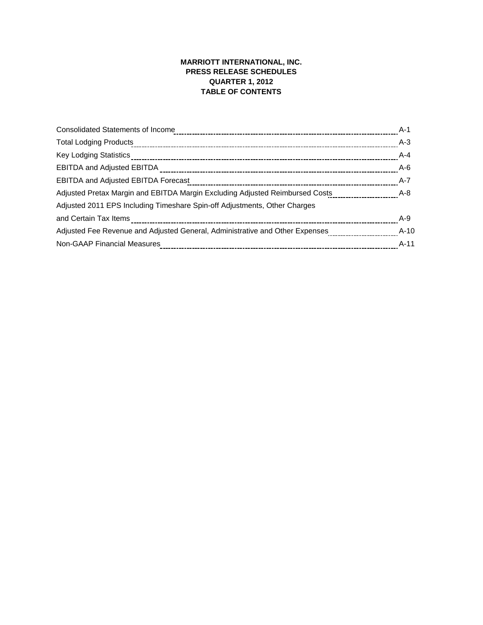# **MARRIOTT INTERNATIONAL, INC. PRESS RELEASE SCHEDULES QUARTER 1, 2012 TABLE OF CONTENTS**

| <b>Consolidated Statements of Income</b>                                                                       | A-1    |
|----------------------------------------------------------------------------------------------------------------|--------|
| <b>Total Lodging Products</b>                                                                                  | $A-3$  |
|                                                                                                                | A-4    |
|                                                                                                                | A-6    |
| <b>EBITDA and Adjusted EBITDA Forecast</b>                                                                     | $A-7$  |
| Adjusted Pretax Margin and EBITDA Margin Excluding Adjusted Reimbursed Costs                                   | A-8    |
| Adjusted 2011 EPS Including Timeshare Spin-off Adjustments, Other Charges                                      |        |
| and Certain Tax Items                                                                                          | A-9    |
| Adjusted Fee Revenue and Adjusted General, Administrative and Other Expenses [10011111111111111111111111111111 |        |
| Non-GAAP Financial Measures                                                                                    | $A-11$ |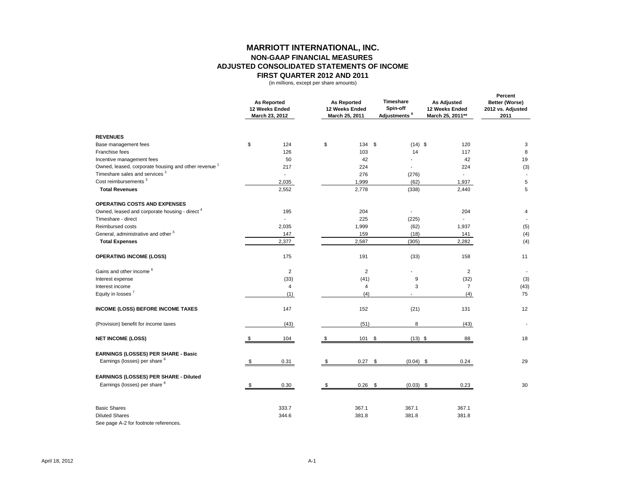## **MARRIOTT INTERNATIONAL, INC. NON-GAAP FINANCIAL MEASURES ADJUSTED CONSOLIDATED STATEMENTS OF INCOME FIRST QUARTER 2012 AND 2011**

(in millions, except per share amounts)

|                                                           | <b>Timeshare</b><br><b>As Reported</b><br><b>As Reported</b><br>Spin-off<br>12 Weeks Ended<br>12 Weeks Ended<br>Adjustments <sup>9</sup><br>March 23, 2012<br>March 25, 2011 |                |    |                | <b>As Adjusted</b><br>12 Weeks Ended<br>March 25, 2011** | Percent<br>Better (Worse)<br>2012 vs. Adjusted<br>2011 |                |
|-----------------------------------------------------------|------------------------------------------------------------------------------------------------------------------------------------------------------------------------------|----------------|----|----------------|----------------------------------------------------------|--------------------------------------------------------|----------------|
| <b>REVENUES</b>                                           |                                                                                                                                                                              |                |    |                |                                                          |                                                        |                |
| Base management fees                                      | \$                                                                                                                                                                           | 124            | \$ | 134S           | $(14)$ \$                                                | 120                                                    | 3              |
| Franchise fees                                            |                                                                                                                                                                              | 126            |    | 103            | 14                                                       | 117                                                    | 8              |
| Incentive management fees                                 |                                                                                                                                                                              | 50             |    | 42             | ÷,                                                       | 42                                                     | 19             |
| Owned, leased, corporate housing and other revenue 1      |                                                                                                                                                                              | 217            |    | 224            |                                                          | 224                                                    | (3)            |
| Timeshare sales and services <sup>2</sup>                 |                                                                                                                                                                              |                |    | 276            | (276)                                                    | $\overline{a}$                                         | $\blacksquare$ |
| Cost reimbursements <sup>3</sup>                          |                                                                                                                                                                              | 2,035          |    | 1,999          | (62)                                                     | 1,937                                                  | 5              |
| <b>Total Revenues</b>                                     |                                                                                                                                                                              | 2,552          |    | 2,778          | (338)                                                    | 2,440                                                  | 5              |
| <b>OPERATING COSTS AND EXPENSES</b>                       |                                                                                                                                                                              |                |    |                |                                                          |                                                        |                |
| Owned, leased and corporate housing - direct <sup>4</sup> |                                                                                                                                                                              | 195            |    | 204            | $\blacksquare$                                           | 204                                                    | 4              |
| Timeshare - direct                                        |                                                                                                                                                                              |                |    | 225            | (225)                                                    | $\mathbf{r}$                                           |                |
| Reimbursed costs                                          |                                                                                                                                                                              | 2,035          |    | 1,999          | (62)                                                     | 1,937                                                  | (5)            |
| General, administrative and other <sup>5</sup>            |                                                                                                                                                                              | 147            |    | 159            | (18)                                                     | 141                                                    | (4)            |
| <b>Total Expenses</b>                                     |                                                                                                                                                                              | 2,377          |    | 2,587          | (305)                                                    | 2,282                                                  | (4)            |
| <b>OPERATING INCOME (LOSS)</b>                            |                                                                                                                                                                              | 175            |    | 191            | (33)                                                     | 158                                                    | 11             |
| Gains and other income <sup>6</sup>                       |                                                                                                                                                                              | $\overline{2}$ |    | $\overline{c}$ |                                                          | 2                                                      |                |
| Interest expense                                          |                                                                                                                                                                              | (33)           |    | (41)           | 9                                                        | (32)                                                   | (3)            |
| Interest income                                           |                                                                                                                                                                              | $\overline{4}$ |    | 4              | 3                                                        | $\overline{7}$                                         | (43)           |
| Equity in losses <sup>7</sup>                             |                                                                                                                                                                              | (1)            |    | (4)            |                                                          | (4)                                                    | 75             |
| <b>INCOME (LOSS) BEFORE INCOME TAXES</b>                  |                                                                                                                                                                              | 147            |    | 152            | (21)                                                     | 131                                                    | 12             |
| (Provision) benefit for income taxes                      |                                                                                                                                                                              | (43)           |    | (51)           | 8                                                        | (43)                                                   |                |
| <b>NET INCOME (LOSS)</b>                                  | \$                                                                                                                                                                           | 104            | \$ | 101            | $(13)$ \$<br>- \$                                        | 88                                                     | 18             |
| EARNINGS (LOSSES) PER SHARE - Basic                       |                                                                                                                                                                              |                |    |                |                                                          |                                                        |                |
| Earnings (losses) per share 8                             | -\$                                                                                                                                                                          | 0.31           | \$ | $0.27$ \$      | $(0.04)$ \$                                              | 0.24                                                   | 29             |
| EARNINGS (LOSSES) PER SHARE - Diluted                     |                                                                                                                                                                              |                |    |                |                                                          |                                                        |                |
| Earnings (losses) per share 8                             | \$                                                                                                                                                                           | 0.30           | \$ | $0.26$ \$      | $(0.03)$ \$                                              | 0.23                                                   | 30             |
|                                                           |                                                                                                                                                                              |                |    |                |                                                          |                                                        |                |
| <b>Basic Shares</b>                                       |                                                                                                                                                                              | 333.7          |    | 367.1          | 367.1                                                    | 367.1                                                  |                |
| <b>Diluted Shares</b>                                     |                                                                                                                                                                              | 344.6          |    | 381.8          | 381.8                                                    | 381.8                                                  |                |
| See page A-2 for footnote references.                     |                                                                                                                                                                              |                |    |                |                                                          |                                                        |                |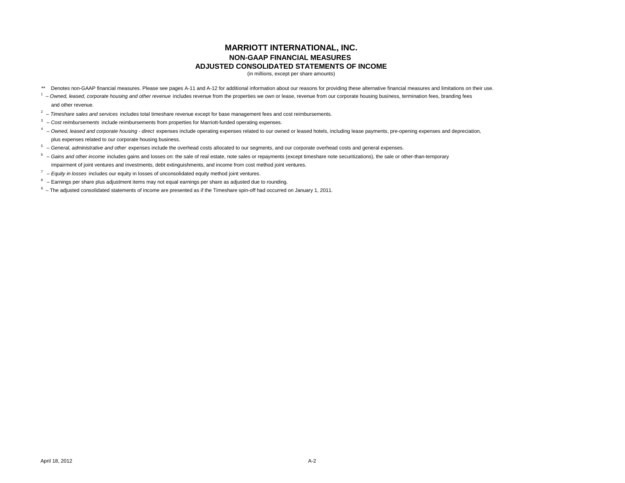## **MARRIOTT INTERNATIONAL, INC. NON-GAAP FINANCIAL MEASURES ADJUSTED CONSOLIDATED STATEMENTS OF INCOME**

(in millions, except per share amounts)

- \*\* Denotes non-GAAP financial measures. Please see pages A-11 and A-12 for additional information about our reasons for providing these alternative financial measures and limitations on their use.
- 1 *Owned, leased, corporate housing and other revenue* includes revenue from the properties we own or lease, revenue from our corporate housing business, termination fees, branding fees
- and other revenue.
- 2 *Timeshare sales and services* includes total timeshare revenue except for base management fees and cost reimbursements.
- 3 *Cost reimbursements* include reimbursements from properties for Marriott-funded operating expenses.
- 4 *Owned, leased and corporate housing direct* expenses include operating expenses related to our owned or leased hotels, including lease payments, pre-opening expenses and depreciation, plus expenses related to our corporate housing business.
- 5 *General, administrative and other* expenses include the overhead costs allocated to our segments, and our corporate overhead costs and general expenses.
- <sup>6</sup> Gains and other income includes gains and losses on: the sale of real estate, note sales or repayments (except timeshare note securitizations), the sale or other-than-temporary impairment of joint ventures and investments, debt extinguishments, and income from cost method joint ventures.
- 7 *Equity in losses* includes our equity in losses of unconsolidated equity method joint ventures.
- $8 -$  Earnings per share plus adjustment items may not equal earnings per share as adjusted due to rounding.
- $9 -$  The adjusted consolidated statements of income are presented as if the Timeshare spin-off had occurred on January 1, 2011.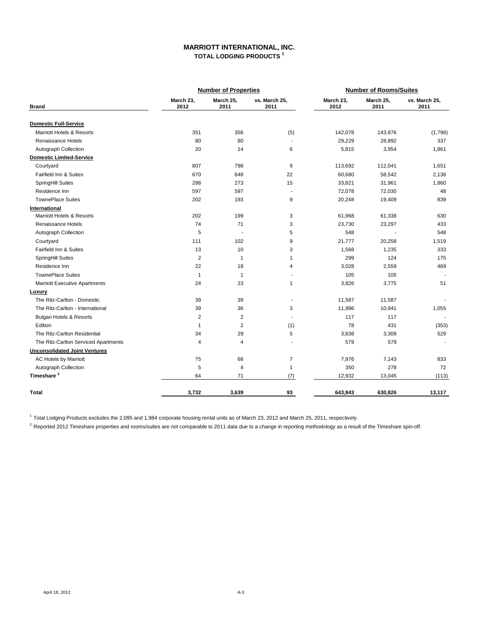### **MARRIOTT INTERNATIONAL, INC. TOTAL LODGING PRODUCTS <sup>1</sup>**

|                                      |                   | <b>Number of Properties</b> |                       | <b>Number of Rooms/Suites</b> |                   |                       |  |  |
|--------------------------------------|-------------------|-----------------------------|-----------------------|-------------------------------|-------------------|-----------------------|--|--|
| <b>Brand</b>                         | March 23,<br>2012 | March 25,<br>2011           | vs. March 25,<br>2011 | March 23,<br>2012             | March 25,<br>2011 | vs. March 25,<br>2011 |  |  |
| <b>Domestic Full-Service</b>         |                   |                             |                       |                               |                   |                       |  |  |
| <b>Marriott Hotels &amp; Resorts</b> | 351               | 356                         | (5)                   | 142,078                       | 143,876           | (1,798)               |  |  |
| Renaissance Hotels                   | 80                | 80                          | $\overline{a}$        | 29,229                        | 28,892            | 337                   |  |  |
| Autograph Collection                 | 20                | 14                          | 6                     | 5,815                         | 3,954             | 1,861                 |  |  |
| <b>Domestic Limited-Service</b>      |                   |                             |                       |                               |                   |                       |  |  |
| Courtyard                            | 807               | 798                         | 9                     | 113,692                       | 112,041           | 1,651                 |  |  |
| Fairfield Inn & Suites               | 670               | 648                         | 22                    | 60,680                        | 58,542            | 2,138                 |  |  |
| SpringHill Suites                    | 288               | 273                         | 15                    | 33,821                        | 31,961            | 1,860                 |  |  |
| Residence Inn                        | 597               | 597                         | $\overline{a}$        | 72,078                        | 72,030            | 48                    |  |  |
| <b>TownePlace Suites</b>             | 202               | 193                         | 9                     | 20,248                        | 19,409            | 839                   |  |  |
| International                        |                   |                             |                       |                               |                   |                       |  |  |
| <b>Marriott Hotels &amp; Resorts</b> | 202               | 199                         | 3                     | 61,968                        | 61,338            | 630                   |  |  |
| Renaissance Hotels                   | 74                | 71                          | 3                     | 23,730                        | 23,297            | 433                   |  |  |
| Autograph Collection                 | 5                 | $\overline{a}$              | 5                     | 548                           |                   | 548                   |  |  |
| Courtyard                            | 111               | 102                         | 9                     | 21,777                        | 20,258            | 1,519                 |  |  |
| Fairfield Inn & Suites               | 13                | 10                          | 3                     | 1,568                         | 1,235             | 333                   |  |  |
| SpringHill Suites                    | 2                 | $\mathbf{1}$                | $\mathbf{1}$          | 299                           | 124               | 175                   |  |  |
| Residence Inn                        | 22                | 18                          | 4                     | 3,028                         | 2,559             | 469                   |  |  |
| <b>TownePlace Suites</b>             | $\mathbf{1}$      | $\mathbf{1}$                |                       | 105                           | 105               |                       |  |  |
| <b>Marriott Executive Apartments</b> | 24                | 23                          | $\mathbf{1}$          | 3,826                         | 3,775             | 51                    |  |  |
| Luxury                               |                   |                             |                       |                               |                   |                       |  |  |
| The Ritz-Carlton - Domestic          | 39                | 39                          | $\overline{a}$        | 11,587                        | 11,587            |                       |  |  |
| The Ritz-Carlton - International     | 39                | 36                          | 3                     | 11,996                        | 10,941            | 1,055                 |  |  |
| <b>Bulgari Hotels &amp; Resorts</b>  | 2                 | $\overline{2}$              |                       | 117                           | 117               |                       |  |  |
| Edition                              | $\mathbf{1}$      | $\overline{c}$              | (1)                   | 78                            | 431               | (353)                 |  |  |
| The Ritz-Carlton Residential         | 34                | 29                          | 5                     | 3,838                         | 3,309             | 529                   |  |  |
| The Ritz-Carlton Serviced Apartments | 4                 | $\overline{4}$              | $\overline{a}$        | 579                           | 579               |                       |  |  |
| <b>Unconsolidated Joint Ventures</b> |                   |                             |                       |                               |                   |                       |  |  |
| <b>AC Hotels by Marriott</b>         | 75                | 68                          | $\overline{7}$        | 7,976                         | 7,143             | 833                   |  |  |
| Autograph Collection                 | 5                 | 4                           | $\mathbf{1}$          | 350                           | 278               | 72                    |  |  |
| Timeshare <sup>2</sup>               | 64                | 71                          | (7)                   | 12,932                        | 13,045            | (113)                 |  |  |
| <b>Total</b>                         | 3,732             | 3,639                       | 93                    | 643,943                       | 630,826           | 13,117                |  |  |

1 Total Lodging Products excludes the 2,095 and 1,984 corporate housing rental units as of March 23, 2012 and March 25, 2011, respectively.

<sup>2</sup> Reported 2012 Timeshare properties and rooms/suites are not comparable to 2011 data due to a change in reporting methodology as a result of the Timeshare spin-off.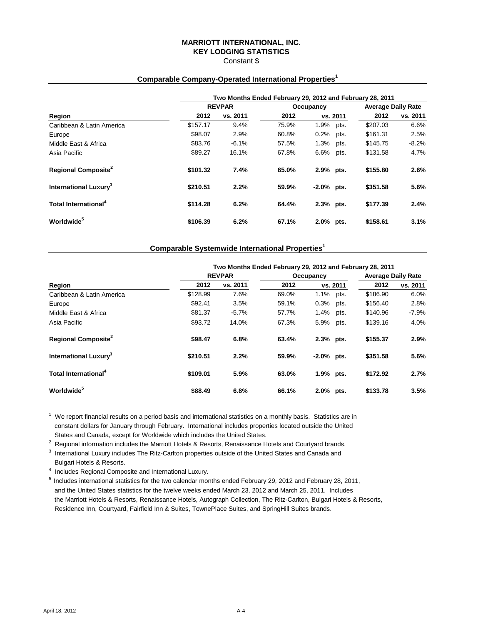### **MARRIOTT INTERNATIONAL, INC. KEY LODGING STATISTICS** Constant \$

| Two Months Ended February 29, 2012 and February 28, 2011 |               |          |       |               |          |                           |          |  |  |
|----------------------------------------------------------|---------------|----------|-------|---------------|----------|---------------------------|----------|--|--|
|                                                          | <b>REVPAR</b> |          |       | Occupancy     |          | <b>Average Daily Rate</b> |          |  |  |
| Region                                                   | 2012          | vs. 2011 | 2012  |               | vs. 2011 | 2012                      | vs. 2011 |  |  |
| Caribbean & Latin America                                | \$157.17      | 9.4%     | 75.9% | 1.9%          | pts.     | \$207.03                  | 6.6%     |  |  |
| Europe                                                   | \$98.07       | 2.9%     | 60.8% | 0.2%          | pts.     | \$161.31                  | 2.5%     |  |  |
| Middle East & Africa                                     | \$83.76       | $-6.1%$  | 57.5% | 1.3%          | pts.     | \$145.75                  | -8.2%    |  |  |
| Asia Pacific                                             | \$89.27       | 16.1%    | 67.8% | 6.6%          | pts.     | \$131.58                  | 4.7%     |  |  |
| <b>Regional Composite</b> <sup>2</sup>                   | \$101.32      | 7.4%     | 65.0% | 2.9% pts.     |          | \$155.80                  | 2.6%     |  |  |
| International Luxury <sup>3</sup>                        | \$210.51      | 2.2%     | 59.9% | $-2.0\%$ pts. |          | \$351.58                  | 5.6%     |  |  |
| Total International <sup>4</sup>                         | \$114.28      | 6.2%     | 64.4% | 2.3% pts.     |          | \$177.39                  | 2.4%     |  |  |
| Worldwide <sup>5</sup>                                   | \$106.39      | 6.2%     | 67.1% | 2.0% pts.     |          | \$158.61                  | 3.1%     |  |  |

# **Comparable Company-Operated International Properties<sup>1</sup>**

### **Comparable Systemwide International Properties<sup>1</sup>**

|                                   | Two Months Ended February 29, 2012 and February 28, 2011 |               |       |               |                           |          |          |  |  |  |
|-----------------------------------|----------------------------------------------------------|---------------|-------|---------------|---------------------------|----------|----------|--|--|--|
|                                   |                                                          | <b>REVPAR</b> |       | Occupancy     | <b>Average Daily Rate</b> |          |          |  |  |  |
| Region                            | 2012                                                     | vs. 2011      | 2012  |               | vs. 2011                  | 2012     | vs. 2011 |  |  |  |
| Caribbean & Latin America         | \$128.99                                                 | 7.6%          | 69.0% | 1.1%          | pts.                      | \$186.90 | 6.0%     |  |  |  |
| Europe                            | \$92.41                                                  | 3.5%          | 59.1% | 0.3%          | pts.                      | \$156.40 | 2.8%     |  |  |  |
| Middle East & Africa              | \$81.37                                                  | $-5.7%$       | 57.7% | 1.4%          | pts.                      | \$140.96 | $-7.9%$  |  |  |  |
| Asia Pacific                      | \$93.72                                                  | 14.0%         | 67.3% | 5.9%          | pts.                      | \$139.16 | 4.0%     |  |  |  |
| Regional Composite <sup>2</sup>   | \$98.47                                                  | 6.8%          | 63.4% | 2.3% pts.     |                           | \$155.37 | 2.9%     |  |  |  |
| International Luxury <sup>3</sup> | \$210.51                                                 | 2.2%          | 59.9% | $-2.0\%$ pts. |                           | \$351.58 | 5.6%     |  |  |  |
| Total International <sup>4</sup>  | \$109.01                                                 | 5.9%          | 63.0% | 1.9% pts.     |                           | \$172.92 | 2.7%     |  |  |  |
| <b>Worldwide</b>                  | \$88.49                                                  | 6.8%          | 66.1% | 2.0% pts.     |                           | \$133.78 | 3.5%     |  |  |  |

 $1$  We report financial results on a period basis and international statistics on a monthly basis. Statistics are in constant dollars for January through February. International includes properties located outside the United States and Canada, except for Worldwide which includes the United States.

 $2$  Regional information includes the Marriott Hotels & Resorts, Renaissance Hotels and Courtyard brands.

 $3$  International Luxury includes The Ritz-Carlton properties outside of the United States and Canada and Bulgari Hotels & Resorts.

<sup>4</sup> Includes Regional Composite and International Luxury.

 $<sup>5</sup>$  Includes international statistics for the two calendar months ended February 29, 2012 and February 28, 2011,</sup> and the United States statistics for the twelve weeks ended March 23, 2012 and March 25, 2011. Includes the Marriott Hotels & Resorts, Renaissance Hotels, Autograph Collection, The Ritz-Carlton, Bulgari Hotels & Resorts, Residence Inn, Courtyard, Fairfield Inn & Suites, TownePlace Suites, and SpringHill Suites brands.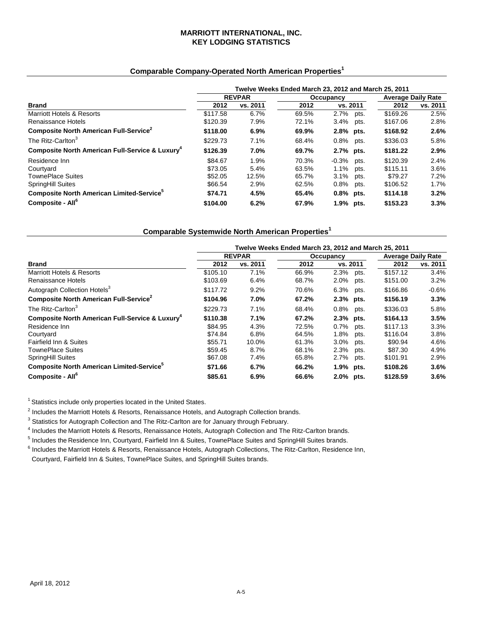## **MARRIOTT INTERNATIONAL, INC. KEY LODGING STATISTICS**

### **Comparable Company-Operated North American Properties<sup>1</sup>**

|                                                             | Twelve Weeks Ended March 23, 2012 and March 25, 2011 |               |           |              |                           |          |          |  |  |
|-------------------------------------------------------------|------------------------------------------------------|---------------|-----------|--------------|---------------------------|----------|----------|--|--|
|                                                             |                                                      | <b>REVPAR</b> | Occupancy |              | <b>Average Daily Rate</b> |          |          |  |  |
| <b>Brand</b>                                                | 2012                                                 | vs. 2011      | 2012      | vs. 2011     |                           | 2012     | vs. 2011 |  |  |
| Marriott Hotels & Resorts                                   | \$117.58                                             | 6.7%          | 69.5%     | $2.7\%$      | pts.                      | \$169.26 | 2.5%     |  |  |
| Renaissance Hotels                                          | \$120.39                                             | 7.9%          | 72.1%     | 3.4%         | pts.                      | \$167.06 | 2.8%     |  |  |
| Composite North American Full-Service <sup>2</sup>          | \$118.00                                             | 6.9%          | 69.9%     | 2.8% pts.    |                           | \$168.92 | 2.6%     |  |  |
| The Ritz-Carlton <sup>3</sup>                               | \$229.73                                             | 7.1%          | 68.4%     | $0.8\%$      | pts.                      | \$336.03 | 5.8%     |  |  |
| Composite North American Full-Service & Luxury <sup>4</sup> | \$126.39                                             | 7.0%          | 69.7%     | 2.7% pts.    |                           | \$181.22 | 2.9%     |  |  |
| Residence Inn                                               | \$84.67                                              | 1.9%          | 70.3%     | $-0.3\%$     | pts.                      | \$120.39 | 2.4%     |  |  |
| Courtyard                                                   | \$73.05                                              | 5.4%          | 63.5%     | 1.1%         | pts.                      | \$115.11 | 3.6%     |  |  |
| <b>TownePlace Suites</b>                                    | \$52.05                                              | 12.5%         | 65.7%     | 3.1%         | pts.                      | \$79.27  | 7.2%     |  |  |
| <b>SpringHill Suites</b>                                    | \$66.54                                              | 2.9%          | 62.5%     | 0.8%         | pts.                      | \$106.52 | $1.7\%$  |  |  |
| Composite North American Limited-Service <sup>5</sup>       | \$74.71                                              | 4.5%          | 65.4%     | $0.8\%$ pts. |                           | \$114.18 | 3.2%     |  |  |
| Composite - All <sup>6</sup>                                | \$104.00                                             | 6.2%          | 67.9%     | 1.9% pts.    |                           | \$153.23 | 3.3%     |  |  |

# **Comparable Systemwide North American Properties<sup>1</sup>**

|                                                             | Twelve Weeks Ended March 23, 2012 and March 25, 2011 |          |       |              |      |          |                           |  |  |
|-------------------------------------------------------------|------------------------------------------------------|----------|-------|--------------|------|----------|---------------------------|--|--|
|                                                             | <b>REVPAR</b>                                        |          |       | Occupancy    |      |          | <b>Average Daily Rate</b> |  |  |
| Brand                                                       | 2012                                                 | vs. 2011 | 2012  | vs. 2011     |      | 2012     | vs. 2011                  |  |  |
| <b>Marriott Hotels &amp; Resorts</b>                        | \$105.10                                             | 7.1%     | 66.9% | 2.3%         | pts. | \$157.12 | 3.4%                      |  |  |
| Renaissance Hotels                                          | \$103.69                                             | 6.4%     | 68.7% | 2.0%         | pts. | \$151.00 | 3.2%                      |  |  |
| Autograph Collection Hotels <sup>3</sup>                    | \$117.72                                             | 9.2%     | 70.6% | 6.3%         | pts. | \$166.86 | $-0.6%$                   |  |  |
| Composite North American Full-Service <sup>2</sup>          | \$104.96                                             | 7.0%     | 67.2% | 2.3% pts.    |      | \$156.19 | 3.3%                      |  |  |
| The Ritz-Carlton <sup>3</sup>                               | \$229.73                                             | 7.1%     | 68.4% | $0.8\%$ pts. |      | \$336.03 | 5.8%                      |  |  |
| Composite North American Full-Service & Luxury <sup>4</sup> | \$110.38                                             | 7.1%     | 67.2% | 2.3% pts.    |      | \$164.13 | 3.5%                      |  |  |
| Residence Inn                                               | \$84.95                                              | 4.3%     | 72.5% | $0.7\%$      | pts. | \$117.13 | 3.3%                      |  |  |
| Courtvard                                                   | \$74.84                                              | 6.8%     | 64.5% | 1.8%         | pts. | \$116.04 | 3.8%                      |  |  |
| Fairfield Inn & Suites                                      | \$55.71                                              | 10.0%    | 61.3% | 3.0%         | pts. | \$90.94  | 4.6%                      |  |  |
| TownePlace Suites                                           | \$59.45                                              | $8.7\%$  | 68.1% | 2.3%         | pts. | \$87.30  | 4.9%                      |  |  |
| SpringHill Suites                                           | \$67.08                                              | 7.4%     | 65.8% | 2.7%         | pts. | \$101.91 | 2.9%                      |  |  |
| Composite North American Limited-Service <sup>5</sup>       | \$71.66                                              | 6.7%     | 66.2% | 1.9% pts.    |      | \$108.26 | 3.6%                      |  |  |
| Composite - All <sup>6</sup>                                | \$85.61                                              | 6.9%     | 66.6% | 2.0% pts.    |      | \$128.59 | 3.6%                      |  |  |

<sup>1</sup> Statistics include only properties located in the United States.

<sup>2</sup> Includes the Marriott Hotels & Resorts, Renaissance Hotels, and Autograph Collection brands.

 $^\epsilon$  Includes the Marriott Hotels & Resorts, Renaissance Hotels, and Autograph Collection brands.<br><sup>3</sup> Statistics for Autograph Collection and The Ritz-Carlton are for January through February.

<sup>4</sup> Includes the Marriott Hotels & Resorts, Renaissance Hotels, Autograph Collection and The Ritz-Carlton brands.<br><sup>5</sup> Includes the Pesidence Inn. Courtuard, Feirfield Inn & Suites, TounePlace Suites and SpringHill Suites b

 $<sup>5</sup>$  Includes the Residence Inn, Courtyard, Fairfield Inn & Suites, TownePlace Suites and SpringHill Suites brands.</sup>

 $^6$  Includes the Marriott Hotels & Resorts, Renaissance Hotels, Autograph Collections, The Ritz-Carlton, Residence Inn, Courtyard, Fairfield Inn & Suites, TownePlace Suites, and SpringHill Suites brands.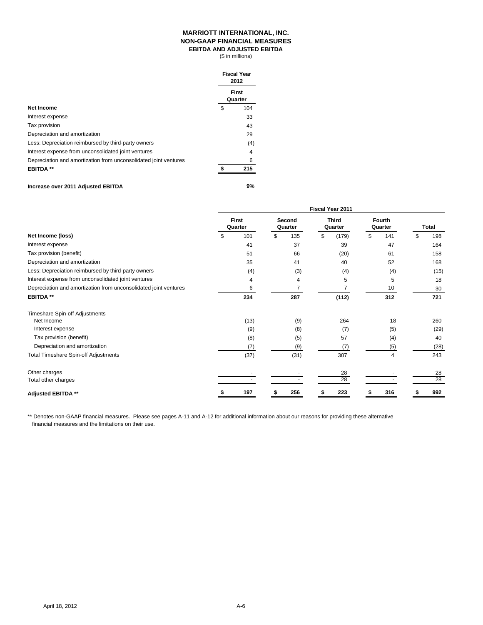#### **MARRIOTT INTERNATIONAL, INC. NON-GAAP FINANCIAL MEASURES EBITDA AND ADJUSTED EBITDA**

 $($ in millions)$ 

|                                                                  |                         | <b>Fiscal Year</b><br>2012 |  |  |
|------------------------------------------------------------------|-------------------------|----------------------------|--|--|
|                                                                  | <b>First</b><br>Quarter |                            |  |  |
| <b>Net Income</b>                                                | \$                      | 104                        |  |  |
| Interest expense                                                 |                         | 33                         |  |  |
| Tax provision                                                    |                         | 43                         |  |  |
| Depreciation and amortization                                    |                         | 29                         |  |  |
| Less: Depreciation reimbursed by third-party owners              |                         | (4)                        |  |  |
| Interest expense from unconsolidated joint ventures              |                         | 4                          |  |  |
| Depreciation and amortization from unconsolidated joint ventures |                         | 6                          |  |  |
| <b>EBITDA**</b>                                                  |                         | 215                        |  |  |
| Increase over 2011 Adjusted EBITDA                               |                         | 9%                         |  |  |

|                                                                  | <b>Fiscal Year 2011</b> |      |                   |      |                         |       |                          |     |    |       |  |
|------------------------------------------------------------------|-------------------------|------|-------------------|------|-------------------------|-------|--------------------------|-----|----|-------|--|
|                                                                  | <b>First</b><br>Quarter |      | Second<br>Quarter |      | <b>Third</b><br>Quarter |       | <b>Fourth</b><br>Quarter |     |    | Total |  |
| Net Income (loss)                                                | \$                      | 101  | \$                | 135  | \$                      | (179) | \$                       | 141 | \$ | 198   |  |
| Interest expense                                                 |                         | 41   |                   | 37   |                         | 39    |                          | 47  |    | 164   |  |
| Tax provision (benefit)                                          |                         | 51   |                   | 66   |                         | (20)  |                          | 61  |    | 158   |  |
| Depreciation and amortization                                    |                         | 35   |                   | 41   |                         | 40    |                          | 52  |    | 168   |  |
| Less: Depreciation reimbursed by third-party owners              |                         | (4)  |                   | (3)  |                         | (4)   |                          | (4) |    | (15)  |  |
| Interest expense from unconsolidated joint ventures              |                         | 4    |                   | 4    |                         | 5     |                          | 5   |    | 18    |  |
| Depreciation and amortization from unconsolidated joint ventures |                         | 6    |                   |      |                         |       |                          | 10  |    | 30    |  |
| <b>EBITDA**</b>                                                  |                         | 234  |                   | 287  |                         | (112) |                          | 312 |    | 721   |  |
| Timeshare Spin-off Adjustments                                   |                         |      |                   |      |                         |       |                          |     |    |       |  |
| Net Income                                                       |                         | (13) |                   | (9)  |                         | 264   |                          | 18  |    | 260   |  |
| Interest expense                                                 |                         | (9)  |                   | (8)  |                         | (7)   |                          | (5) |    | (29)  |  |
| Tax provision (benefit)                                          |                         | (8)  |                   | (5)  |                         | 57    |                          | (4) |    | 40    |  |
| Depreciation and amortization                                    |                         | (7)  |                   | (9)  |                         | (7)   |                          | (5) |    | (28)  |  |
| <b>Total Timeshare Spin-off Adjustments</b>                      |                         | (37) |                   | (31) |                         | 307   |                          | 4   |    | 243   |  |
| Other charges                                                    |                         |      |                   |      |                         | 28    |                          |     |    | 28    |  |
| Total other charges                                              |                         |      |                   |      |                         | 28    |                          |     |    | 28    |  |
| Adjusted EBITDA **                                               | 5                       | 197  | \$                | 256  | 5                       | 223   |                          | 316 |    | 992   |  |

\*\* Denotes non-GAAP financial measures. Please see pages A-11 and A-12 for additional information about our reasons for providing these alternative financial measures and the limitations on their use.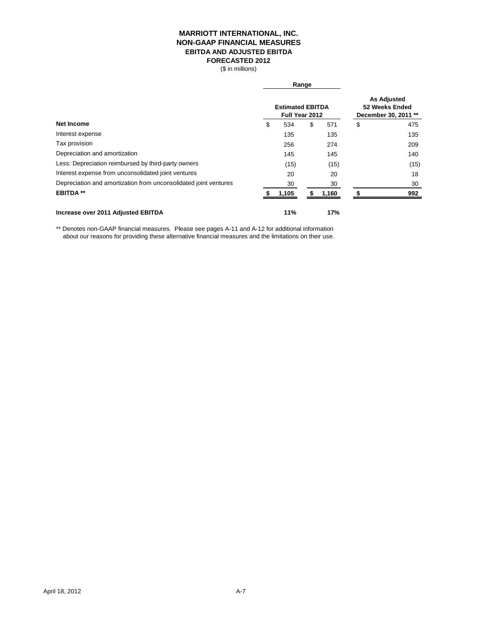## **MARRIOTT INTERNATIONAL, INC. NON-GAAP FINANCIAL MEASURES EBITDA AND ADJUSTED EBITDA FORECASTED 2012**

(\$ in millions)

|                                                                  | Range |                                           |    |                                                       |    |      |
|------------------------------------------------------------------|-------|-------------------------------------------|----|-------------------------------------------------------|----|------|
|                                                                  |       | <b>Estimated EBITDA</b><br>Full Year 2012 |    | As Adjusted<br>52 Weeks Ended<br>December 30, 2011 ** |    |      |
| Net Income                                                       | \$    | 534                                       | \$ | 571                                                   | \$ | 475  |
| Interest expense                                                 |       | 135                                       |    | 135                                                   |    | 135  |
| Tax provision                                                    |       | 256                                       |    | 274                                                   |    | 209  |
| Depreciation and amortization                                    |       | 145                                       |    | 145                                                   |    | 140  |
| Less: Depreciation reimbursed by third-party owners              |       | (15)                                      |    | (15)                                                  |    | (15) |
| Interest expense from unconsolidated joint ventures              |       | 20                                        |    | 20                                                    |    | 18   |
| Depreciation and amortization from unconsolidated joint ventures |       | 30                                        |    | 30                                                    |    | 30   |
| <b>EBITDA**</b>                                                  |       | 1,105                                     |    | 1,160                                                 |    | 992  |
| Increase over 2011 Adjusted EBITDA                               |       | 11%                                       |    | 17%                                                   |    |      |

\*\* Denotes non-GAAP financial measures. Please see pages A-11 and A-12 for additional information about our reasons for providing these alternative financial measures and the limitations on their use.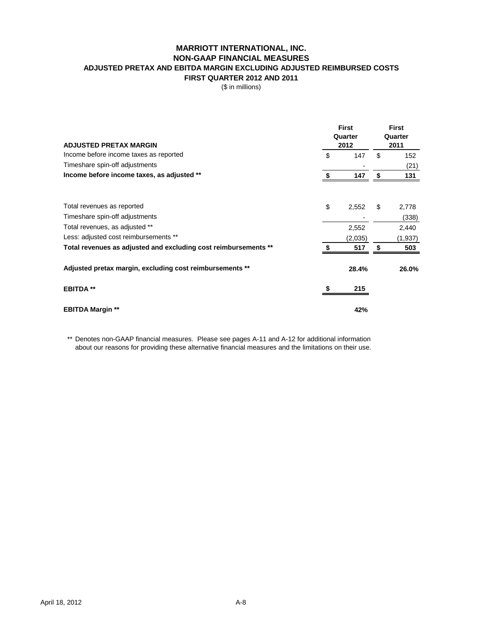# **MARRIOTT INTERNATIONAL, INC. NON-GAAP FINANCIAL MEASURES ADJUSTED PRETAX AND EBITDA MARGIN EXCLUDING ADJUSTED REIMBURSED COSTS FIRST QUARTER 2012 AND 2011**

(\$ in millions)

| <b>ADJUSTED PRETAX MARGIN</b>                                   |    | <b>First</b><br>Quarter<br>2012 | <b>First</b><br>Quarter<br>2011 |         |  |
|-----------------------------------------------------------------|----|---------------------------------|---------------------------------|---------|--|
| Income before income taxes as reported                          | \$ | 147                             | \$                              | 152     |  |
| Timeshare spin-off adjustments                                  |    |                                 |                                 | (21)    |  |
| Income before income taxes, as adjusted **                      |    | 147                             | \$                              | 131     |  |
| Total revenues as reported                                      | \$ | 2,552                           | \$                              | 2,778   |  |
| Timeshare spin-off adjustments                                  |    |                                 |                                 | (338)   |  |
| Total revenues, as adjusted **                                  |    | 2,552                           |                                 | 2,440   |  |
| Less: adjusted cost reimbursements **                           |    | (2,035)                         |                                 | (1,937) |  |
| Total revenues as adjusted and excluding cost reimbursements ** |    | 517                             | S                               | 503     |  |
| Adjusted pretax margin, excluding cost reimbursements **        |    | 28.4%                           |                                 | 26.0%   |  |
| <b>EBITDA**</b>                                                 |    | 215                             |                                 |         |  |
| <b>EBITDA Margin **</b>                                         |    | 42%                             |                                 |         |  |

\*\* Denotes non-GAAP financial measures. Please see pages A-11 and A-12 for additional information about our reasons for providing these alternative financial measures and the limitations on their use.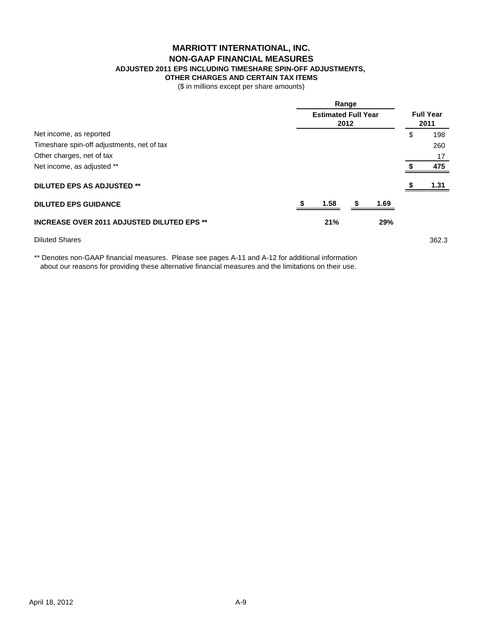# **MARRIOTT INTERNATIONAL, INC. NON-GAAP FINANCIAL MEASURES ADJUSTED 2011 EPS INCLUDING TIMESHARE SPIN-OFF ADJUSTMENTS, OTHER CHARGES AND CERTAIN TAX ITEMS**

(\$ in millions except per share amounts)

| <b>Estimated Full Year</b><br>2012 |      |     |       |  |                          |
|------------------------------------|------|-----|-------|--|--------------------------|
|                                    |      |     |       |  |                          |
|                                    |      |     |       |  | 260                      |
|                                    |      |     |       |  | 17                       |
|                                    |      |     |       |  | 475                      |
|                                    |      |     |       |  | 1.31                     |
|                                    | 1.58 | -SG | 1.69  |  |                          |
|                                    | 21%  |     | 29%   |  |                          |
|                                    |      |     | Range |  | <b>Full Year</b><br>2011 |

Diluted Shares 362.3

\*\* Denotes non-GAAP financial measures. Please see pages A-11 and A-12 for additional information about our reasons for providing these alternative financial measures and the limitations on their use.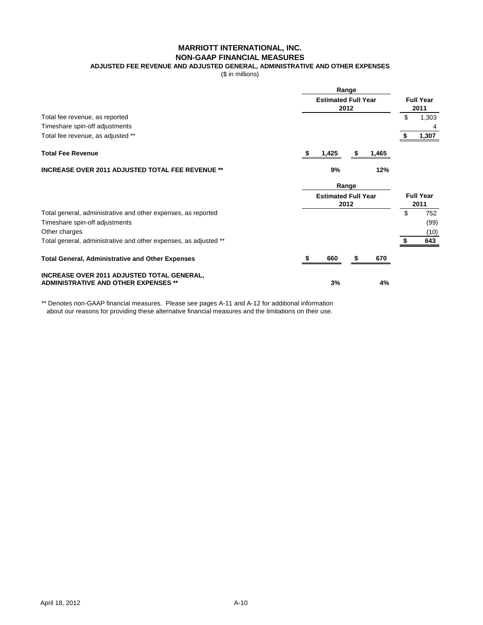## **MARRIOTT INTERNATIONAL, INC.**

## **NON-GAAP FINANCIAL MEASURES**

**ADJUSTED FEE REVENUE AND ADJUSTED GENERAL, ADMINISTRATIVE AND OTHER EXPENSES**

(\$ in millions)

|                                                                                           | Range                              |                          |
|-------------------------------------------------------------------------------------------|------------------------------------|--------------------------|
|                                                                                           | <b>Estimated Full Year</b><br>2012 | <b>Full Year</b><br>2011 |
| Total fee revenue, as reported                                                            |                                    | \$<br>1,303              |
| Timeshare spin-off adjustments                                                            |                                    | 4                        |
| Total fee revenue, as adjusted **                                                         |                                    | 1,307                    |
| <b>Total Fee Revenue</b>                                                                  | 1,425<br>1,465                     |                          |
| <b>INCREASE OVER 2011 ADJUSTED TOTAL FEE REVENUE **</b>                                   | 9%<br>12%                          |                          |
|                                                                                           | Range                              |                          |
|                                                                                           | <b>Estimated Full Year</b><br>2012 | <b>Full Year</b><br>2011 |
| Total general, administrative and other expenses, as reported                             |                                    | \$<br>752                |
| Timeshare spin-off adjustments                                                            |                                    | (99)                     |
| Other charges                                                                             |                                    | (10)                     |
| Total general, administrative and other expenses, as adjusted **                          |                                    | \$<br>643                |
| <b>Total General, Administrative and Other Expenses</b>                                   | 660<br>670                         |                          |
| INCREASE OVER 2011 ADJUSTED TOTAL GENERAL,<br><b>ADMINISTRATIVE AND OTHER EXPENSES **</b> | 3%<br>4%                           |                          |

\*\* Denotes non-GAAP financial measures. Please see pages A-11 and A-12 for additional information about our reasons for providing these alternative financial measures and the limitations on their use.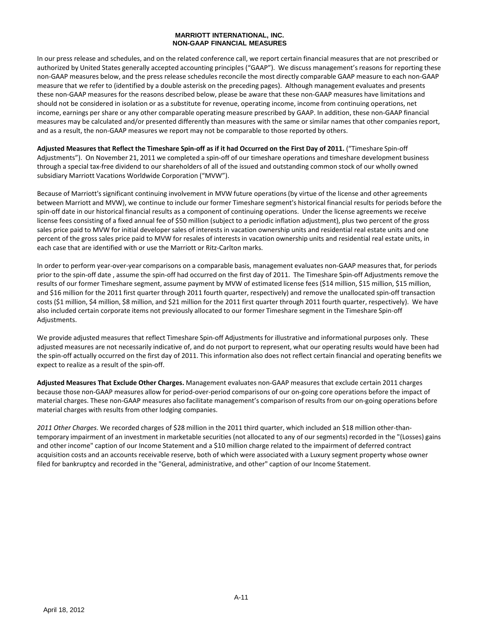#### **MARRIOTT INTERNATIONAL, INC. NON-GAAP FINANCIAL MEASURES**

In our press release and schedules, and on the related conference call, we report certain financial measures that are not prescribed or authorized by United States generally accepted accounting principles ("GAAP"). We discuss management's reasons for reporting these non-GAAP measures below, and the press release schedules reconcile the most directly comparable GAAP measure to each non-GAAP measure that we refer to (identified by a double asterisk on the preceding pages). Although management evaluates and presents these non-GAAP measures for the reasons described below, please be aware that these non-GAAP measures have limitations and should not be considered in isolation or as a substitute for revenue, operating income, income from continuing operations, net income, earnings per share or any other comparable operating measure prescribed by GAAP. In addition, these non-GAAP financial measures may be calculated and/or presented differently than measures with the same or similar names that other companies report, and as a result, the non-GAAP measures we report may not be comparable to those reported by others.

**Adjusted Measures that Reflect the Timeshare Spin-off as if it had Occurred on the First Day of 2011.** ("Timeshare Spin-off Adjustments"). On November 21, 2011 we completed a spin-off of our timeshare operations and timeshare development business through a special tax-free dividend to our shareholders of all of the issued and outstanding common stock of our wholly owned subsidiary Marriott Vacations Worldwide Corporation ("MVW").

Because of Marriott's significant continuing involvement in MVW future operations (by virtue of the license and other agreements between Marriott and MVW), we continue to include our former Timeshare segment's historical financial results for periods before the spin-off date in our historical financial results as a component of continuing operations. Under the license agreements we receive license fees consisting of a fixed annual fee of \$50 million (subject to a periodic inflation adjustment), plus two percent of the gross sales price paid to MVW for initial developer sales of interests in vacation ownership units and residential real estate units and one percent of the gross sales price paid to MVW for resales of interests in vacation ownership units and residential real estate units, in each case that are identified with or use the Marriott or Ritz-Carlton marks.

In order to perform year-over-year comparisons on a comparable basis, management evaluates non-GAAP measures that, for periods prior to the spin-off date , assume the spin-off had occurred on the first day of 2011. The Timeshare Spin-off Adjustments remove the results of our former Timeshare segment, assume payment by MVW of estimated license fees (\$14 million, \$15 million, \$15 million, and \$16 million for the 2011 first quarter through 2011 fourth quarter, respectively) and remove the unallocated spin-off transaction costs (\$1 million, \$4 million, \$8 million, and \$21 million for the 2011 first quarter through 2011 fourth quarter, respectively). We have also included certain corporate items not previously allocated to our former Timeshare segment in the Timeshare Spin-off Adjustments.

We provide adjusted measures that reflect Timeshare Spin-off Adjustments for illustrative and informational purposes only. These adjusted measures are not necessarily indicative of, and do not purport to represent, what our operating results would have been had the spin-off actually occurred on the first day of 2011. This information also does not reflect certain financial and operating benefits we expect to realize as a result of the spin-off.

**Adjusted Measures That Exclude Other Charges.** Management evaluates non-GAAP measures that exclude certain 2011 charges because those non-GAAP measures allow for period-over-period comparisons of our on-going core operations before the impact of material charges. These non-GAAP measures also facilitate management's comparison of results from our on-going operations before material charges with results from other lodging companies.

*2011 Other Charges.* We recorded charges of \$28 million in the 2011 third quarter, which included an \$18 million other-thantemporary impairment of an investment in marketable securities (not allocated to any of our segments) recorded in the "(Losses) gains and other income" caption of our Income Statement and a \$10 million charge related to the impairment of deferred contract acquisition costs and an accounts receivable reserve, both of which were associated with a Luxury segment property whose owner filed for bankruptcy and recorded in the "General, administrative, and other" caption of our Income Statement.